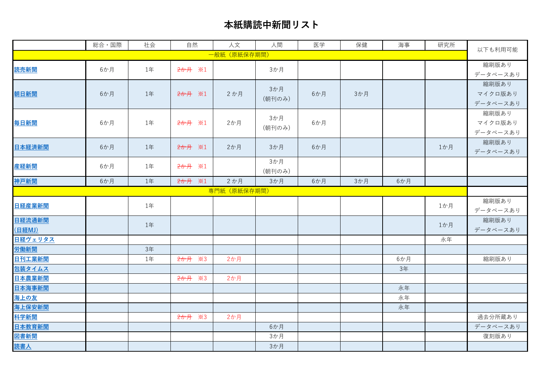## **本紙購読中新聞リスト**

|                                                                        | 総合·国際 | 社会 | 自然                                   | 人文  | 人間            | 医学  | 保健  | 海事  | 研究所 | 以下も利用可能  |
|------------------------------------------------------------------------|-------|----|--------------------------------------|-----|---------------|-----|-----|-----|-----|----------|
| 一般紙(原紙保存期間)                                                            |       |    |                                      |     |               |     |     |     |     |          |
| 読売新聞                                                                   | 6か月   | 1年 | 2か月 ※1                               |     | 3か月           |     |     |     |     | 縮刷版あり    |
|                                                                        |       |    |                                      |     |               |     |     |     |     | データベースあり |
|                                                                        |       |    |                                      |     | 3か月           |     |     |     |     | 縮刷版あり    |
| 朝日新聞                                                                   | 6か月   | 1年 | 2か月 ※1                               | 2か月 | (朝刊のみ)        | 6か月 | 3か月 |     |     | マイクロ版あり  |
|                                                                        |       |    |                                      |     |               |     |     |     |     | データベースあり |
|                                                                        |       |    |                                      |     | 3か月           |     |     |     |     | 縮刷版あり    |
| 毎日新聞                                                                   | 6か月   | 1年 | 2か月 ※1                               | 2か月 | (朝刊のみ)        | 6か月 |     |     |     | マイクロ版あり  |
|                                                                        |       |    |                                      |     |               |     |     |     |     | データベースあり |
| 日本経済新聞                                                                 | 6か月   | 1年 | 2か月 ※1                               | 2か月 | 3か月           | 6か月 |     |     | 1か月 | 縮刷版あり    |
|                                                                        |       |    |                                      |     |               |     |     |     |     | データベースあり |
| 産経新聞                                                                   | 6か月   | 1年 | 2か月 ※1                               |     | 3か月<br>(朝刊のみ) |     |     |     |     |          |
| 神戸新聞                                                                   |       |    | $*1$                                 |     |               |     |     |     |     |          |
| 6か月<br>1年<br>2か月<br>$2$ か月<br>3か月<br>6か月<br>3か月<br>6か月<br>専門紙 (原紙保存期間) |       |    |                                      |     |               |     |     |     |     |          |
|                                                                        |       |    |                                      |     |               |     |     |     |     | 縮刷版あり    |
| 日経産業新聞                                                                 | 1年    |    |                                      |     |               |     |     |     | 1か月 | データベースあり |
| 日経流通新聞                                                                 |       | 1年 |                                      |     |               |     |     |     | 1か月 | 縮刷版あり    |
| (日経MJ)                                                                 |       |    |                                      |     |               |     |     |     |     | データベースあり |
| 日経ヴェリタス                                                                |       |    |                                      |     |               |     |     |     | 永年  |          |
| 労働新聞                                                                   |       | 3年 |                                      |     |               |     |     |     |     |          |
| 日刊工業新聞                                                                 |       | 1年 | <del>2か月</del><br>$\divideontimes$ 3 | 2か月 |               |     |     | 6か月 |     | 縮刷版あり    |
| 包装タイムス                                                                 |       |    |                                      |     |               |     |     | 3年  |     |          |
| 日本農業新聞                                                                 |       |    | 2か月 ※3                               | 2か月 |               |     |     |     |     |          |
| 日本海事新聞                                                                 |       |    |                                      |     |               |     |     | 永年  |     |          |
| 海上の友                                                                   |       |    |                                      |     |               |     |     | 永年  |     |          |
| 海上保安新聞                                                                 |       |    |                                      |     |               |     |     | 永年  |     |          |
| 科学新聞                                                                   |       |    | <del>2か月</del> ※3                    | 2か月 |               |     |     |     |     | 過去分所蔵あり  |
| 日本教育新聞                                                                 |       |    |                                      |     | 6か月           |     |     |     |     | データベースあり |
| 図書新聞                                                                   |       |    |                                      |     | 3か月           |     |     |     |     | 復刻版あり    |
| <u>読書人</u>                                                             |       |    |                                      |     | 3か月           |     |     |     |     |          |